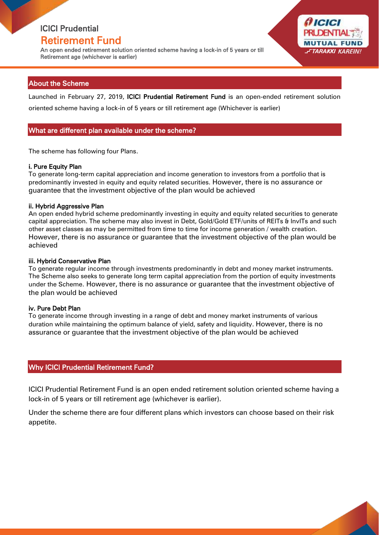# ICICI Prudential

### Retirement Fund

An open ended retirement solution oriented scheme having a lock-in of 5 years or till Retirement age (whichever is earlier)

### About the Scheme

Launched in February 27, 2019, ICICI Prudential Retirement Fund is an open-ended retirement solution oriented scheme having a lock-in of 5 years or till retirement age (Whichever is earlier)

*ICICI* 

**MUTUAL FUI FTARAKKI KAREIN** 

### What are different plan available under the scheme?

The scheme has following four Plans.

#### i. Pure Equity Plan

To generate long-term capital appreciation and income generation to investors from a portfolio that is predominantly invested in equity and equity related securities. However, there is no assurance or guarantee that the investment objective of the plan would be achieved

#### ii. Hybrid Aggressive Plan

An open ended hybrid scheme predominantly investing in equity and equity related securities to generate capital appreciation. The scheme may also invest in Debt, Gold/Gold ETF/units of REITs & InvITs and such other asset classes as may be permitted from time to time for income generation / wealth creation. However, there is no assurance or guarantee that the investment objective of the plan would be achieved

#### iii. Hybrid Conservative Plan

To generate regular income through investments predominantly in debt and money market instruments. The Scheme also seeks to generate long term capital appreciation from the portion of equity investments under the Scheme. However, there is no assurance or guarantee that the investment objective of the plan would be achieved

#### iv. Pure Debt Plan

To generate income through investing in a range of debt and money market instruments of various duration while maintaining the optimum balance of yield, safety and liquidity. However, there is no assurance or guarantee that the investment objective of the plan would be achieved

### Why ICICI Prudential Retirement Fund?

ICICI Prudential Retirement Fund is an open ended retirement solution oriented scheme having a lock-in of 5 years or till retirement age (whichever is earlier).

Under the scheme there are four different plans which investors can choose based on their risk appetite.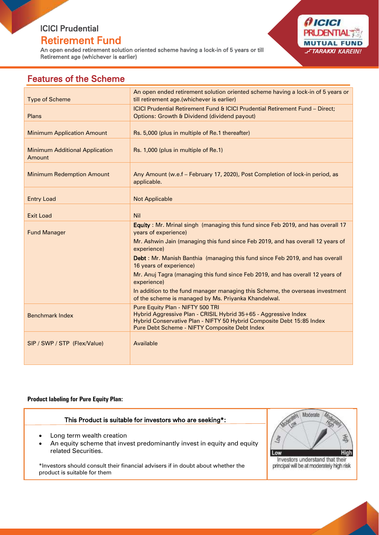# ICICI Prudential

## Retirement Fund

An open ended retirement solution oriented scheme having a lock-in of 5 years or till Retirement age (whichever is earlier)



# Features of the Scheme

| <b>Type of Scheme</b>                           | An open ended retirement solution oriented scheme having a lock-in of 5 years or<br>till retirement age.(whichever is earlier)                                                                                                |
|-------------------------------------------------|-------------------------------------------------------------------------------------------------------------------------------------------------------------------------------------------------------------------------------|
| Plans                                           | ICICI Prudential Retirement Fund & ICICI Prudential Retirement Fund - Direct;<br>Options: Growth & Dividend (dividend payout)                                                                                                 |
| <b>Minimum Application Amount</b>               | Rs. 5,000 (plus in multiple of Re.1 thereafter)                                                                                                                                                                               |
| <b>Minimum Additional Application</b><br>Amount | Rs. 1,000 (plus in multiple of Re.1)                                                                                                                                                                                          |
| <b>Minimum Redemption Amount</b>                | Any Amount (w.e.f - February 17, 2020), Post Completion of lock-in period, as<br>applicable.                                                                                                                                  |
| <b>Entry Load</b>                               | <b>Not Applicable</b>                                                                                                                                                                                                         |
| <b>Exit Load</b>                                | Nil                                                                                                                                                                                                                           |
| <b>Fund Manager</b>                             | Equity: Mr. Mrinal singh (managing this fund since Feb 2019, and has overall 17<br>years of experience)                                                                                                                       |
|                                                 | Mr. Ashwin Jain (managing this fund since Feb 2019, and has overall 12 years of<br>experience)                                                                                                                                |
|                                                 | Debt: Mr. Manish Banthia (managing this fund since Feb 2019, and has overall<br>16 years of experience)                                                                                                                       |
|                                                 | Mr. Anuj Tagra (managing this fund since Feb 2019, and has overall 12 years of<br>experience)                                                                                                                                 |
|                                                 | In addition to the fund manager managing this Scheme, the overseas investment<br>of the scheme is managed by Ms. Priyanka Khandelwal.                                                                                         |
| <b>Benchmark Index</b>                          | Pure Equity Plan - NIFTY 500 TRI<br>Hybrid Aggressive Plan - CRISIL Hybrid 35+65 - Aggressive Index<br>Hybrid Conservative Plan - NIFTY 50 Hybrid Composite Debt 15:85 Index<br>Pure Debt Scheme - NIFTY Composite Debt Index |
| SIP / SWP / STP (Flex/Value)                    | Available                                                                                                                                                                                                                     |
|                                                 |                                                                                                                                                                                                                               |

#### **Product labeling for Pure Equity Plan:**

### This Product is suitable for investors who are seeking\*:

- Long term wealth creation
- An equity scheme that invest predominantly invest in equity and equity related Securities.

\*Investors should consult their financial advisers if in doubt about whether the product is suitable for them



Investors understand that their principal will be at moderately high risk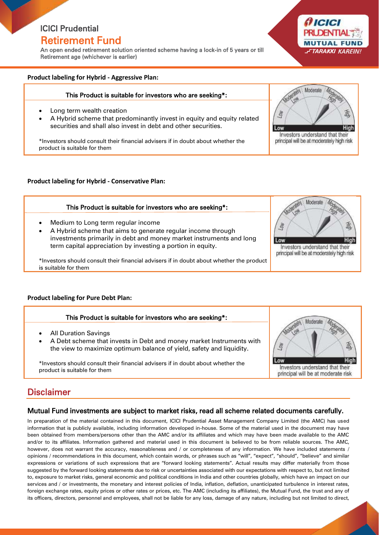# ICICI Prudential

### Retirement Fund

An open ended retirement solution oriented scheme having a lock-in of 5 years or till Retirement age (whichever is earlier)



#### This Product is suitable for investors who are seeking\*:

- Long term wealth creation
- A Hybrid scheme that predominantly invest in equity and equity related securities and shall also invest in debt and other securities.

**ICICI Product is suitable for them** \*Investors should consult their financial advisers if in doubt about whether the

#### **Product labeling for Hybrid - Conservative Plan:**

Medium to Long term regular income



\*Investors should consult their financial advisers if in doubt about whether the product is suitable for them

Ξ

#### **Product labeling for Pure Debt Plan:**

#### This Product is suitable for investors who are seeking\*:

- All Duration Savings
- A Debt scheme that invests in Debt and money market Instruments with the view to maximize optimum balance of yield, safety and liquidity.

\*Investors should consult their financial advisers if in doubt about whether the product is suitable for them



principal will be at moderately high risk

(† ICIC

Moderat

Investors understand that their principal will be at moderately high risk

**MUTUAL FUI TARAKKI KARFIN** 

**High** 

## Disclaimer

#### Mutual Fund investments are subject to market risks, read all scheme related documents carefully.

In preparation of the material contained in this document, ICICI Prudential Asset Management Company Limited (the AMC) has used information that is publicly available, including information developed in-house. Some of the material used in the document may have been obtained from members/persons other than the AMC and/or its affiliates and which may have been made available to the AMC and/or to its affiliates. Information gathered and material used in this document is believed to be from reliable sources. The AMC, however, does not warrant the accuracy, reasonableness and / or completeness of any information. We have included statements / opinions / recommendations in this document, which contain words, or phrases such as "will", "expect", "should", "believe" and similar expressions or variations of such expressions that are "forward looking statements". Actual results may differ materially from those suggested by the forward looking statements due to risk or uncertainties associated with our expectations with respect to, but not limited to, exposure to market risks, general economic and political conditions in India and other countries globally, which have an impact on our services and / or investments, the monetary and interest policies of India, inflation, deflation, unanticipated turbulence in interest rates, foreign exchange rates, equity prices or other rates or prices, etc. The AMC (including its affiliates), the Mutual Fund, the trust and any of its officers, directors, personnel and employees, shall not be liable for any loss, damage of any nature, including but not limited to direct,